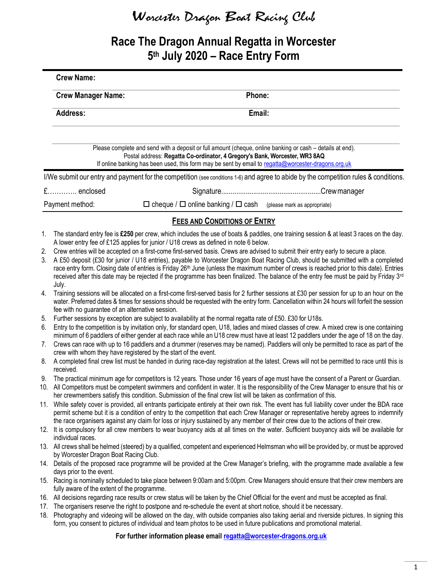# Worcester Drago<sup>n</sup> Boat Racing Club

### Race The Dragon Annual Regatta in Worcester 5th July 2020 - Race Entry Form

|          | <b>Crew Name:</b>                                                                                                                                                                                                                                                                                                                                                                                                                                                                                                                                                                |                                                                                                                                                                                                                                                                                                                                                                                              |  |  |  |  |
|----------|----------------------------------------------------------------------------------------------------------------------------------------------------------------------------------------------------------------------------------------------------------------------------------------------------------------------------------------------------------------------------------------------------------------------------------------------------------------------------------------------------------------------------------------------------------------------------------|----------------------------------------------------------------------------------------------------------------------------------------------------------------------------------------------------------------------------------------------------------------------------------------------------------------------------------------------------------------------------------------------|--|--|--|--|
|          | <b>Crew Manager Name:</b>                                                                                                                                                                                                                                                                                                                                                                                                                                                                                                                                                        | Phone:                                                                                                                                                                                                                                                                                                                                                                                       |  |  |  |  |
|          | <b>Address:</b>                                                                                                                                                                                                                                                                                                                                                                                                                                                                                                                                                                  | Email:                                                                                                                                                                                                                                                                                                                                                                                       |  |  |  |  |
|          |                                                                                                                                                                                                                                                                                                                                                                                                                                                                                                                                                                                  | Please complete and send with a deposit or full amount (cheque, online banking or cash - details at end).<br>Postal address: Regatta Co-ordinator, 4 Gregory's Bank, Worcester, WR3 8AQ<br>If online banking has been used, this form may be sent by email to regatta@worcester-dragons.org.uk                                                                                               |  |  |  |  |
|          |                                                                                                                                                                                                                                                                                                                                                                                                                                                                                                                                                                                  | I/We submit our entry and payment for the competition (see conditions 1-6) and agree to abide by the competition rules & conditions.                                                                                                                                                                                                                                                         |  |  |  |  |
|          | £ enclosed                                                                                                                                                                                                                                                                                                                                                                                                                                                                                                                                                                       |                                                                                                                                                                                                                                                                                                                                                                                              |  |  |  |  |
|          | Payment method:                                                                                                                                                                                                                                                                                                                                                                                                                                                                                                                                                                  | $\Box$ cheque / $\Box$ online banking / $\Box$ cash (please mark as appropriate)                                                                                                                                                                                                                                                                                                             |  |  |  |  |
|          |                                                                                                                                                                                                                                                                                                                                                                                                                                                                                                                                                                                  | <b>FEES AND CONDITIONS OF ENTRY</b>                                                                                                                                                                                                                                                                                                                                                          |  |  |  |  |
| 1.       |                                                                                                                                                                                                                                                                                                                                                                                                                                                                                                                                                                                  | The standard entry fee is £250 per crew, which includes the use of boats & paddles, one training session & at least 3 races on the day.<br>A lower entry fee of £125 applies for junior / U18 crews as defined in note 6 below.                                                                                                                                                              |  |  |  |  |
| 2.<br>3. | Crew entries will be accepted on a first-come first-served basis. Crews are advised to submit their entry early to secure a place.<br>A £50 deposit (£30 for junior / U18 entries), payable to Worcester Dragon Boat Racing Club, should be submitted with a completed<br>race entry form. Closing date of entries is Friday 26 <sup>th</sup> June (unless the maximum number of crews is reached prior to this date). Entries<br>received after this date may be rejected if the programme has been finalized. The balance of the entry fee must be paid by Friday 3rd<br>July. |                                                                                                                                                                                                                                                                                                                                                                                              |  |  |  |  |
| 4.       | Training sessions will be allocated on a first-come first-served basis for 2 further sessions at £30 per session for up to an hour on the<br>water. Preferred dates & times for sessions should be requested with the entry form. Cancellation within 24 hours will forfeit the session<br>fee with no guarantee of an alternative session.                                                                                                                                                                                                                                      |                                                                                                                                                                                                                                                                                                                                                                                              |  |  |  |  |
| 5.       |                                                                                                                                                                                                                                                                                                                                                                                                                                                                                                                                                                                  | Further sessions by exception are subject to availability at the normal regatta rate of £50. £30 for U18s.                                                                                                                                                                                                                                                                                   |  |  |  |  |
| 6.       | Entry to the competition is by invitation only, for standard open, U18, ladies and mixed classes of crew. A mixed crew is one containing<br>minimum of 6 paddlers of either gender at each race while an U18 crew must have at least 12 paddlers under the age of 18 on the day.                                                                                                                                                                                                                                                                                                 |                                                                                                                                                                                                                                                                                                                                                                                              |  |  |  |  |
| 7.       |                                                                                                                                                                                                                                                                                                                                                                                                                                                                                                                                                                                  | Crews can race with up to 16 paddlers and a drummer (reserves may be named). Paddlers will only be permitted to race as part of the<br>crew with whom they have registered by the start of the event.                                                                                                                                                                                        |  |  |  |  |
| 8.       | received.                                                                                                                                                                                                                                                                                                                                                                                                                                                                                                                                                                        | A completed final crew list must be handed in during race-day registration at the latest. Crews will not be permitted to race until this is                                                                                                                                                                                                                                                  |  |  |  |  |
| 9.       |                                                                                                                                                                                                                                                                                                                                                                                                                                                                                                                                                                                  | The practical minimum age for competitors is 12 years. Those under 16 years of age must have the consent of a Parent or Guardian.                                                                                                                                                                                                                                                            |  |  |  |  |
| 10.      |                                                                                                                                                                                                                                                                                                                                                                                                                                                                                                                                                                                  | All Competitors must be competent swimmers and confident in water. It is the responsibility of the Crew Manager to ensure that his or<br>her crewmembers satisfy this condition. Submission of the final crew list will be taken as confirmation of this.                                                                                                                                    |  |  |  |  |
|          | 11. While safety cover is provided, all entrants participate entirely at their own risk. The event has full liability cover under the BDA race<br>permit scheme but it is a condition of entry to the competition that each Crew Manager or representative hereby agrees to indemnify<br>the race organisers against any claim for loss or injury sustained by any member of their crew due to the actions of their crew.                                                                                                                                                        |                                                                                                                                                                                                                                                                                                                                                                                              |  |  |  |  |
| 12.      | individual races.                                                                                                                                                                                                                                                                                                                                                                                                                                                                                                                                                                | It is compulsory for all crew members to wear buoyancy aids at all times on the water. Sufficient buoyancy aids will be available for                                                                                                                                                                                                                                                        |  |  |  |  |
|          | by Worcester Dragon Boat Racing Club.                                                                                                                                                                                                                                                                                                                                                                                                                                                                                                                                            | 13. All crews shall be helmed (steered) by a qualified, competent and experienced Helmsman who will be provided by, or must be approved                                                                                                                                                                                                                                                      |  |  |  |  |
|          | days prior to the event.                                                                                                                                                                                                                                                                                                                                                                                                                                                                                                                                                         | 14. Details of the proposed race programme will be provided at the Crew Manager's briefing, with the programme made available a few                                                                                                                                                                                                                                                          |  |  |  |  |
|          | fully aware of the extent of the programme.                                                                                                                                                                                                                                                                                                                                                                                                                                                                                                                                      | 15. Racing is nominally scheduled to take place between 9:00am and 5:00pm. Crew Managers should ensure that their crew members are                                                                                                                                                                                                                                                           |  |  |  |  |
|          |                                                                                                                                                                                                                                                                                                                                                                                                                                                                                                                                                                                  | 16. All decisions regarding race results or crew status will be taken by the Chief Official for the event and must be accepted as final.                                                                                                                                                                                                                                                     |  |  |  |  |
|          |                                                                                                                                                                                                                                                                                                                                                                                                                                                                                                                                                                                  | 17. The organisers reserve the right to postpone and re-schedule the event at short notice, should it be necessary.<br>18. Photography and videoing will be allowed on the day, with outside companies also taking aerial and riverside pictures. In signing this<br>form, you consent to pictures of individual and team photos to be used in future publications and promotional material. |  |  |  |  |

For further information please email regatta@worcester-dragons.org.uk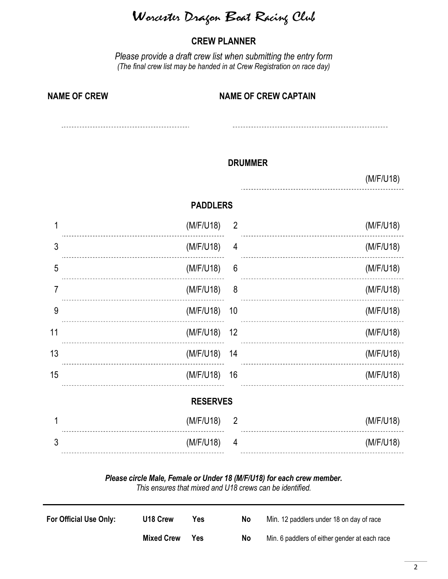Worcester Drago<sup>n</sup> Boat Racing Club

### CREW PLANNER

Please provide a draft crew list when submitting the entry form (The final crew list may be handed in at Crew Registration on race day)

| <b>NAME OF CREW</b> | <b>NAME OF CREW CAPTAIN</b> |
|---------------------|-----------------------------|
|                     |                             |

#### DRUMMER

#### (M/F/U18)

#### PADDLERS

|                 | (M/F/U18)    | $\overline{2}$  |  | (M/F/U18) |  |
|-----------------|--------------|-----------------|--|-----------|--|
| 3               | (M/F/U18)    | 4               |  | (M/F/U18) |  |
| 5               | (M/F/U18)    | $6\phantom{1}6$ |  | (M/F/U18) |  |
| 7               | (M/F/U18)    | 8               |  | (M/F/U18) |  |
| 9               | (M/F/U18) 10 |                 |  | (M/F/U18) |  |
| 11              | (M/F/U18) 12 |                 |  | (M/F/U18) |  |
| 13              | (M/F/U18) 14 |                 |  | (M/F/U18) |  |
| 15              | (M/F/U18) 16 |                 |  | (M/F/U18) |  |
| <b>RESERVES</b> |              |                 |  |           |  |
|                 | (M/F/U18)    | $\overline{2}$  |  | (M/F/U18) |  |
| 3               | (M/F/U18)    | $\overline{4}$  |  | (M/F/U18) |  |
|                 |              |                 |  |           |  |

#### Please circle Male, Female or Under 18 (M/F/U18) for each crew member. This ensures that mixed and U18 crews can be identified.

| For Official Use Only: | U <sub>18</sub> Crew | Yes | No | Min. 12 paddlers under 18 on day of race      |
|------------------------|----------------------|-----|----|-----------------------------------------------|
|                        | <b>Mixed Crew</b>    | Yes | No | Min. 6 paddlers of either gender at each race |